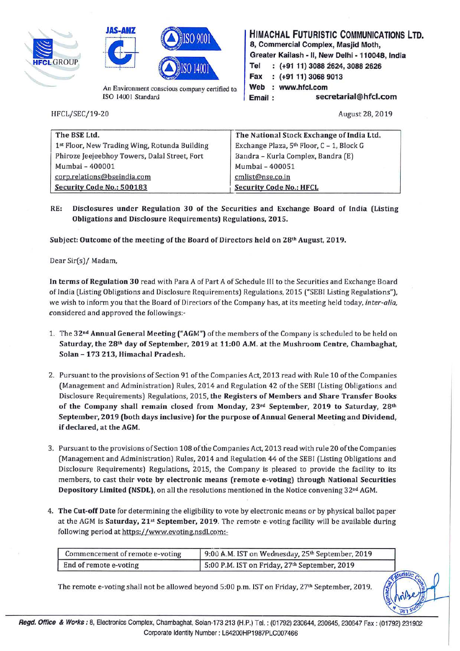





An Environment conscious company certified to *ISO* 14001 Standard

HFCL/SEC/19-20 August 28, 2019

**HIMACHAL FUTURISTIC COMMUNICATIONS LTD. 8, Commercial Complex, Masjid Moth, Greater Kailash** - II, **New Delhi** - **110048, India**  8, Commercial Complex, Masjid Moth,<br>HFCLGROUP **-110048**<br>Tel : (+91 11) 3088 2624, 3088 2626 **Fax (+91 11) 3068 9013**  Web : www.hfcl.com **Email: secretarial@hfcl.com** 

| The BSE Ltd.                                  | The National Stock Exchange of India Ltd. |
|-----------------------------------------------|-------------------------------------------|
| 1st Floor, New Trading Wing, Rotunda Building | Exchange Plaza, 5th Floor, C - 1, Block G |
| Phiroze Jeejeebhoy Towers, Dalal Street, Fort | Bandra - Kurla Complex, Bandra (E)        |
| Mumbai - 400001                               | Mumbai - 400051                           |
| corp.relations@bseindia.com                   | cmlist@nse.co.in                          |
| Security Code No.: 500183                     | <b>Security Code No.: HFCL</b>            |

**RE: Disclosures under Regulation 30 of the Securities and Exchange Board of India (Listing Obligations and Disclosure Requirements) Regulations, 2015.** 

**Subject: Outcome of the meeting of the Board of Directors held on 28th August, 2019.** 

Dear Sir(s)/ Madam,

**In terms of Regulation 30** read with Para A of Part A of Schedule III to the Securities and Exchange Board of India (Listing Obligations and Disclosure Requirements) Regulations, 2015 ("SEBI Listing Regulations"), we wish to inform you that the Board of Directors of the Company has, at its meeting held today, *inter-alia*, considered and approved the followings:-

- 1. The **32 nd Annual General Meeting ("AGM")** of the members of the Company is scheduled to be held on Saturday, the 28<sup>th</sup> day of September, 2019 at 11:00 A.M. at the Mushroom Centre, Chambaghat, **Solan** - **173 213, Himachal Pradesh.**
- 2. Pursuant to the provisions of Section 91 of the Companies Act, 2013 read with Rule 10 of the Companies (Management and Administration) Rules, 2014 and Regulation 42 of the SEBI (Listing Obligations and Disclosure Requirements) Regulations, 2015, **the Registers of Members and Share Transfer Books**  of the Company shall remain closed from Monday, 23<sup>rd</sup> September, 2019 to Saturday, 28<sup>th</sup> **September, 2019 (both days inclusive) for the purpose of Annual General Meeting and Dividend, if declared, at the AGM.**
- 3. Pursuant to the provisions of Section 108 of the Companies Act, 2013 read with rule 20 of the Companies (Management and Administration) Rules, 2014 and Regulation 44 of the SEBI (Listing Obligations and Disclosure Requirements) Regulations, 2015, the Company is pleased to provide the facility to its members, to cast their **vote by electronic means (remote e-voting) through National Securities**  Depository Limited (NSDL), on all the resolutions mentioned in the Notice convening 32<sup>nd</sup> AGM.
- 4. **The Cut-off Date** for determining the eligibility to vote by electronic means or by physical ballot paper at the AGM is **Saturday, 21st September, 2019**. The remote e-voting facility will be available during following period at https://www.evoting.nsdl.com:-

| Commencement of remote e-voting | 9:00 A.M. IST on Wednesday, 25th September, 2019 |
|---------------------------------|--------------------------------------------------|
| End of remote e-voting          | 5:00 P.M. IST on Friday, 27th September, 2019    |

The remote e-voting shall not be allowed beyond 5:00 p.m. 1ST on Friday, 27th September, 2019.